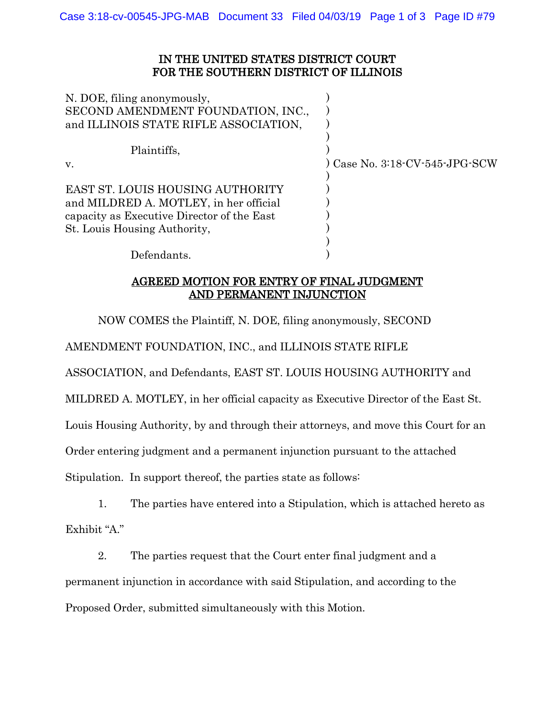## IN THE UNITED STATES DISTRICT COURT FOR THE SOUTHERN DISTRICT OF ILLINOIS

| N. DOE, filing anonymously,                |                                |
|--------------------------------------------|--------------------------------|
| SECOND AMENDMENT FOUNDATION, INC.,         |                                |
| and ILLINOIS STATE RIFLE ASSOCIATION,      |                                |
| Plaintiffs,                                |                                |
| V.                                         | ) Case No. 3:18-CV-545-JPG-SCW |
|                                            |                                |
| EAST ST. LOUIS HOUSING AUTHORITY           |                                |
| and MILDRED A. MOTLEY, in her official     |                                |
| capacity as Executive Director of the East |                                |
| St. Louis Housing Authority,               |                                |
|                                            |                                |
| Defendants.                                |                                |

AGREED MOTION FOR ENTRY OF FINAL JUDGMENT AND PERMANENT INJUNCTION

NOW COMES the Plaintiff, N. DOE, filing anonymously, SECOND

AMENDMENT FOUNDATION, INC., and ILLINOIS STATE RIFLE

ASSOCIATION, and Defendants, EAST ST. LOUIS HOUSING AUTHORITY and

MILDRED A. MOTLEY, in her official capacity as Executive Director of the East St.

Louis Housing Authority, by and through their attorneys, and move this Court for an

Order entering judgment and a permanent injunction pursuant to the attached

Stipulation. In support thereof, the parties state as follows:

1. The parties have entered into a Stipulation, which is attached hereto as Exhibit "A."

2. The parties request that the Court enter final judgment and a permanent injunction in accordance with said Stipulation, and according to the Proposed Order, submitted simultaneously with this Motion.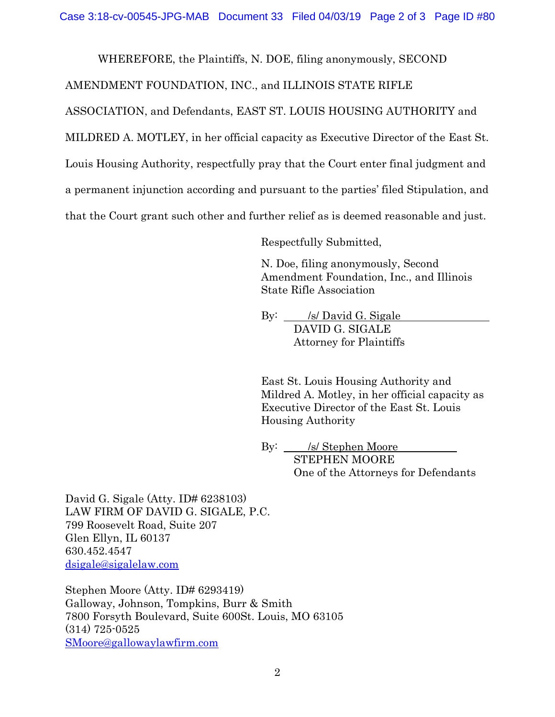WHEREFORE, the Plaintiffs, N. DOE, filing anonymously, SECOND

AMENDMENT FOUNDATION, INC., and ILLINOIS STATE RIFLE

ASSOCIATION, and Defendants, EAST ST. LOUIS HOUSING AUTHORITY and

MILDRED A. MOTLEY, in her official capacity as Executive Director of the East St.

Louis Housing Authority, respectfully pray that the Court enter final judgment and

a permanent injunction according and pursuant to the parties' filed Stipulation, and

that the Court grant such other and further relief as is deemed reasonable and just.

Respectfully Submitted,

N. Doe, filing anonymously, Second Amendment Foundation, Inc., and Illinois State Rifle Association

By: /s/ David G. Sigale DAVID G. SIGALE Attorney for Plaintiffs

East St. Louis Housing Authority and Mildred A. Motley, in her official capacity as Executive Director of the East St. Louis Housing Authority

By: /s/ Stephen Moore STEPHEN MOORE One of the Attorneys for Defendants

David G. Sigale (Atty. ID# 6238103) LAW FIRM OF DAVID G. SIGALE, P.C. 799 Roosevelt Road, Suite 207 Glen Ellyn, IL 60137 630.452.4547 [dsigale@sigalelaw.com](mailto:dsigale@sigalelaw.com)

Stephen Moore (Atty. ID# 6293419) Galloway, Johnson, Tompkins, Burr & Smith 7800 Forsyth Boulevard, Suite 600St. Louis, MO 63105 (314) 725-0525 [SMoore@gallowaylawfirm.com](mailto:SMoore@gallowaylawfirm.com)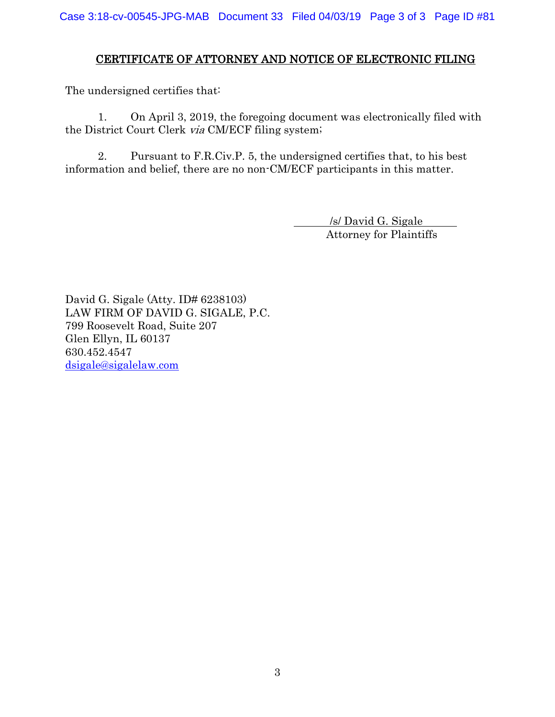## CERTIFICATE OF ATTORNEY AND NOTICE OF ELECTRONIC FILING

The undersigned certifies that:

1. On April 3, 2019, the foregoing document was electronically filed with the District Court Clerk via CM/ECF filing system;

2. Pursuant to F.R.Civ.P. 5, the undersigned certifies that, to his best information and belief, there are no non-CM/ECF participants in this matter.

> /s/ David G. Sigale Attorney for Plaintiffs

David G. Sigale (Atty. ID# 6238103) LAW FIRM OF DAVID G. SIGALE, P.C. 799 Roosevelt Road, Suite 207 Glen Ellyn, IL 60137 630.452.4547 [dsigale@sigalelaw.com](mailto:dsigale@sigalelaw.com)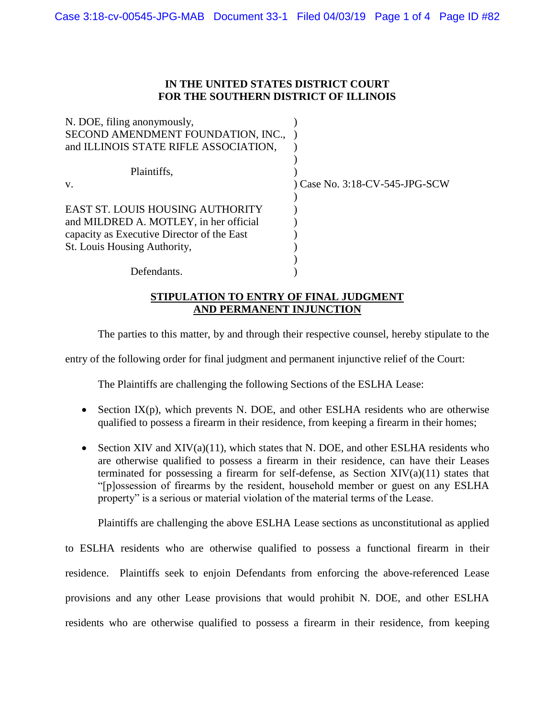## **IN THE UNITED STATES DISTRICT COURT FOR THE SOUTHERN DISTRICT OF ILLINOIS**

| N. DOE, filing anonymously,                |                                |
|--------------------------------------------|--------------------------------|
| SECOND AMENDMENT FOUNDATION, INC.,         |                                |
| and ILLINOIS STATE RIFLE ASSOCIATION,      |                                |
|                                            |                                |
| Plaintiffs,                                |                                |
| V.                                         | ) Case No. 3:18-CV-545-JPG-SCW |
|                                            |                                |
| <b>EAST ST. LOUIS HOUSING AUTHORITY</b>    |                                |
| and MILDRED A. MOTLEY, in her official     |                                |
| capacity as Executive Director of the East |                                |
| St. Louis Housing Authority,               |                                |
|                                            |                                |
| Defendants.                                |                                |

## **STIPULATION TO ENTRY OF FINAL JUDGMENT AND PERMANENT INJUNCTION**

The parties to this matter, by and through their respective counsel, hereby stipulate to the

entry of the following order for final judgment and permanent injunctive relief of the Court:

The Plaintiffs are challenging the following Sections of the ESLHA Lease:

- Section  $IX(p)$ , which prevents N. DOE, and other ESLHA residents who are otherwise qualified to possess a firearm in their residence, from keeping a firearm in their homes;
- Section XIV and XIV $(a)(11)$ , which states that N. DOE, and other ESLHA residents who are otherwise qualified to possess a firearm in their residence, can have their Leases terminated for possessing a firearm for self-defense, as Section  $XIV(a)(11)$  states that "[p]ossession of firearms by the resident, household member or guest on any ESLHA property" is a serious or material violation of the material terms of the Lease.

Plaintiffs are challenging the above ESLHA Lease sections as unconstitutional as applied

to ESLHA residents who are otherwise qualified to possess a functional firearm in their residence. Plaintiffs seek to enjoin Defendants from enforcing the above-referenced Lease provisions and any other Lease provisions that would prohibit N. DOE, and other ESLHA residents who are otherwise qualified to possess a firearm in their residence, from keeping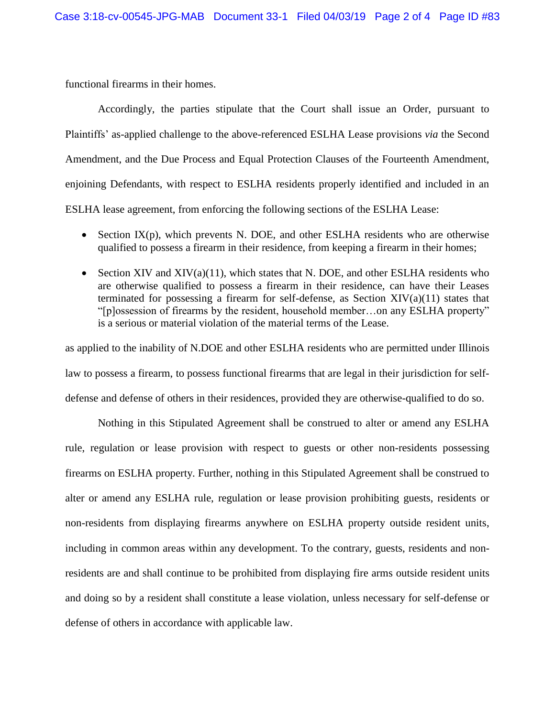functional firearms in their homes.

Accordingly, the parties stipulate that the Court shall issue an Order, pursuant to Plaintiffs' as-applied challenge to the above-referenced ESLHA Lease provisions *via* the Second Amendment, and the Due Process and Equal Protection Clauses of the Fourteenth Amendment, enjoining Defendants, with respect to ESLHA residents properly identified and included in an ESLHA lease agreement, from enforcing the following sections of the ESLHA Lease:

- Section  $IX(p)$ , which prevents N. DOE, and other ESLHA residents who are otherwise qualified to possess a firearm in their residence, from keeping a firearm in their homes;
- Section XIV and XIV $(a)(11)$ , which states that N. DOE, and other ESLHA residents who are otherwise qualified to possess a firearm in their residence, can have their Leases terminated for possessing a firearm for self-defense, as Section  $XIV(a)(11)$  states that "[p]ossession of firearms by the resident, household member…on any ESLHA property" is a serious or material violation of the material terms of the Lease.

as applied to the inability of N.DOE and other ESLHA residents who are permitted under Illinois law to possess a firearm, to possess functional firearms that are legal in their jurisdiction for selfdefense and defense of others in their residences, provided they are otherwise-qualified to do so.

Nothing in this Stipulated Agreement shall be construed to alter or amend any ESLHA rule, regulation or lease provision with respect to guests or other non-residents possessing firearms on ESLHA property. Further, nothing in this Stipulated Agreement shall be construed to alter or amend any ESLHA rule, regulation or lease provision prohibiting guests, residents or non-residents from displaying firearms anywhere on ESLHA property outside resident units, including in common areas within any development. To the contrary, guests, residents and nonresidents are and shall continue to be prohibited from displaying fire arms outside resident units and doing so by a resident shall constitute a lease violation, unless necessary for self-defense or defense of others in accordance with applicable law.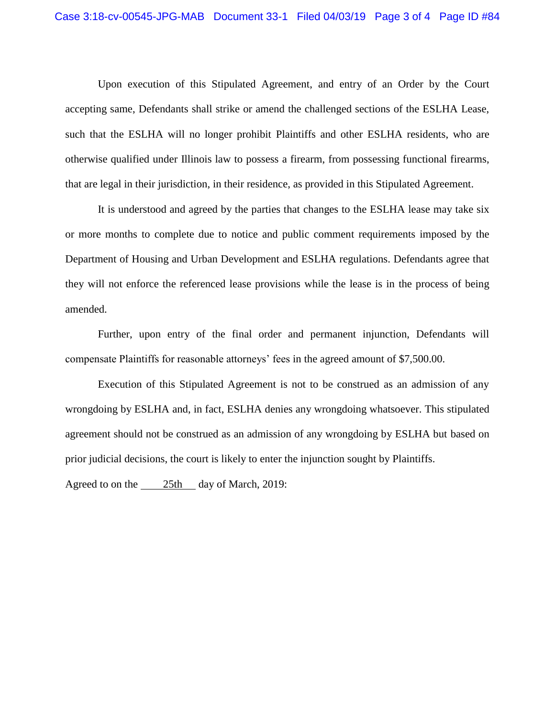Upon execution of this Stipulated Agreement, and entry of an Order by the Court accepting same, Defendants shall strike or amend the challenged sections of the ESLHA Lease, such that the ESLHA will no longer prohibit Plaintiffs and other ESLHA residents, who are otherwise qualified under Illinois law to possess a firearm, from possessing functional firearms, that are legal in their jurisdiction, in their residence, as provided in this Stipulated Agreement.

It is understood and agreed by the parties that changes to the ESLHA lease may take six or more months to complete due to notice and public comment requirements imposed by the Department of Housing and Urban Development and ESLHA regulations. Defendants agree that they will not enforce the referenced lease provisions while the lease is in the process of being amended.

Further, upon entry of the final order and permanent injunction, Defendants will compensate Plaintiffs for reasonable attorneys' fees in the agreed amount of \$7,500.00.

Execution of this Stipulated Agreement is not to be construed as an admission of any wrongdoing by ESLHA and, in fact, ESLHA denies any wrongdoing whatsoever. This stipulated agreement should not be construed as an admission of any wrongdoing by ESLHA but based on prior judicial decisions, the court is likely to enter the injunction sought by Plaintiffs.

Agreed to on the  $\frac{25 \text{th}}{4}$  day of March, 2019: